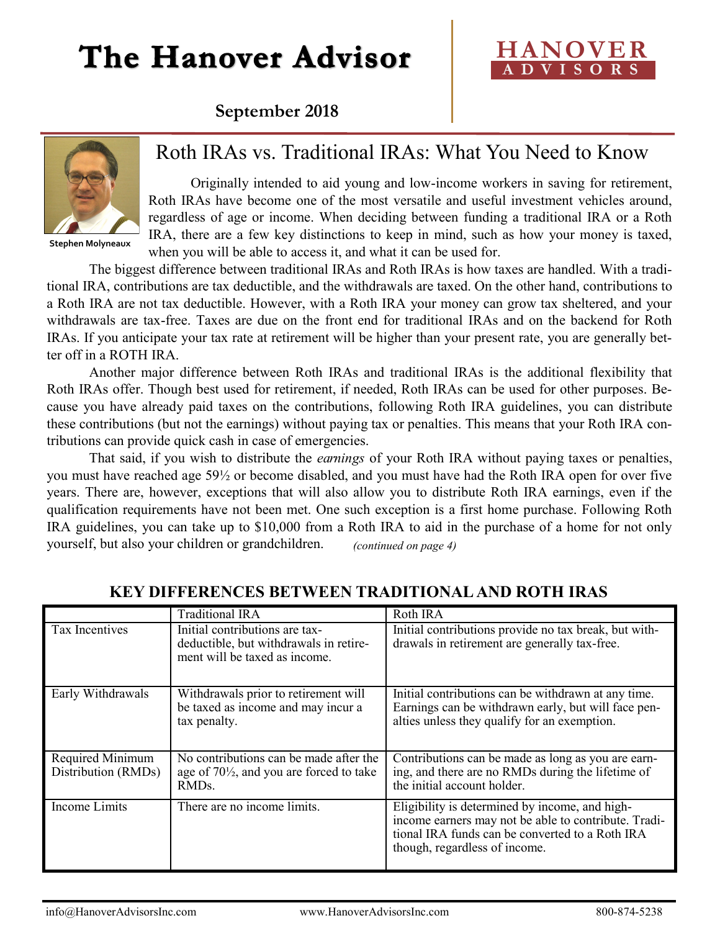# The Hanover Advisor

### **HANOVER A D V I S O R S**

### **September 2018**



**Stephen Molyneaux**

### Roth IRAs vs. Traditional IRAs: What You Need to Know

Originally intended to aid young and low-income workers in saving for retirement, Roth IRAs have become one of the most versatile and useful investment vehicles around, regardless of age or income. When deciding between funding a traditional IRA or a Roth IRA, there are a few key distinctions to keep in mind, such as how your money is taxed, when you will be able to access it, and what it can be used for.

The biggest difference between traditional IRAs and Roth IRAs is how taxes are handled. With a traditional IRA, contributions are tax deductible, and the withdrawals are taxed. On the other hand, contributions to a Roth IRA are not tax deductible. However, with a Roth IRA your money can grow tax sheltered, and your withdrawals are tax-free. Taxes are due on the front end for traditional IRAs and on the backend for Roth IRAs. If you anticipate your tax rate at retirement will be higher than your present rate, you are generally better off in a ROTH IRA.

Another major difference between Roth IRAs and traditional IRAs is the additional flexibility that Roth IRAs offer. Though best used for retirement, if needed, Roth IRAs can be used for other purposes. Because you have already paid taxes on the contributions, following Roth IRA guidelines, you can distribute these contributions (but not the earnings) without paying tax or penalties. This means that your Roth IRA contributions can provide quick cash in case of emergencies.

That said, if you wish to distribute the *earnings* of your Roth IRA without paying taxes or penalties, you must have reached age 59½ or become disabled, and you must have had the Roth IRA open for over five years. There are, however, exceptions that will also allow you to distribute Roth IRA earnings, even if the qualification requirements have not been met. One such exception is a first home purchase. Following Roth IRA guidelines, you can take up to \$10,000 from a Roth IRA to aid in the purchase of a home for not only yourself, but also your children or grandchildren. *(continued on page 4)*

|                                         | <b>Traditional IRA</b>                                                                                              | Roth IRA                                                                                                                                                                                   |
|-----------------------------------------|---------------------------------------------------------------------------------------------------------------------|--------------------------------------------------------------------------------------------------------------------------------------------------------------------------------------------|
| Tax Incentives                          | Initial contributions are tax-<br>deductible, but withdrawals in retire-<br>ment will be taxed as income.           | Initial contributions provide no tax break, but with-<br>drawals in retirement are generally tax-free.                                                                                     |
| Early Withdrawals                       | Withdrawals prior to retirement will<br>be taxed as income and may incur a<br>tax penalty.                          | Initial contributions can be withdrawn at any time.<br>Earnings can be withdrawn early, but will face pen-<br>alties unless they qualify for an exemption.                                 |
| Required Minimum<br>Distribution (RMDs) | No contributions can be made after the<br>age of $70\frac{1}{2}$ , and you are forced to take<br>RMD <sub>s</sub> . | Contributions can be made as long as you are earn-<br>ing, and there are no RMDs during the lifetime of<br>the initial account holder.                                                     |
| Income Limits                           | There are no income limits.                                                                                         | Eligibility is determined by income, and high-<br>income earners may not be able to contribute. Tradi-<br>tional IRA funds can be converted to a Roth IRA<br>though, regardless of income. |

#### **KEY DIFFERENCES BETWEEN TRADITIONAL AND ROTH IRAS**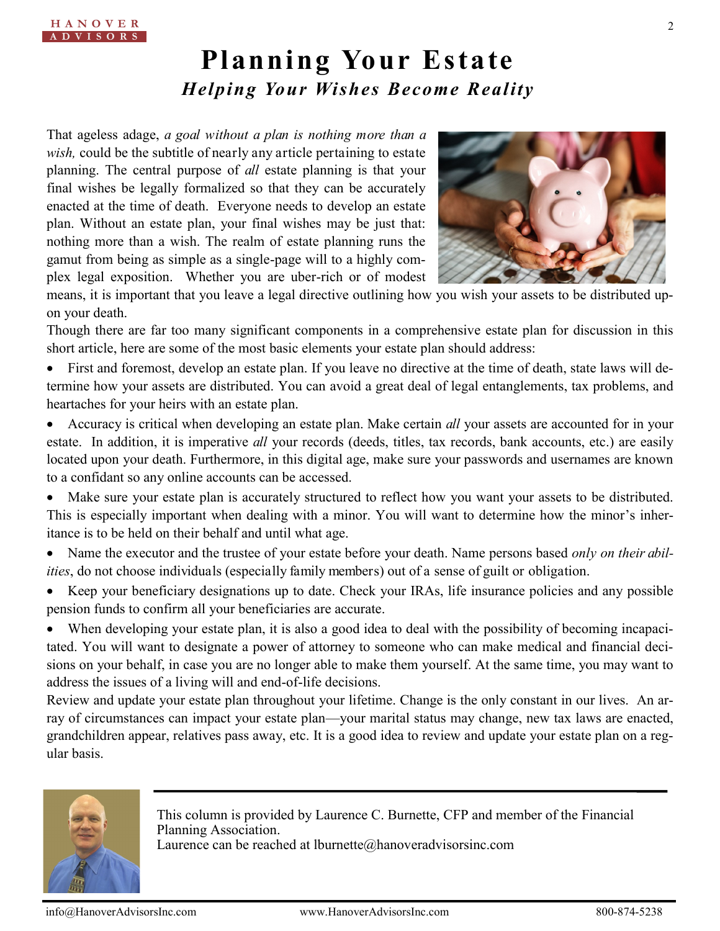# **Planning Your Estate** *Helping Your Wishes Become Reality*

That ageless adage, *a goal without a plan is nothing more than a wish,* could be the subtitle of nearly any article pertaining to estate planning. The central purpose of *all* estate planning is that your final wishes be legally formalized so that they can be accurately enacted at the time of death. Everyone needs to develop an estate plan. Without an estate plan, your final wishes may be just that: nothing more than a wish. The realm of estate planning runs the gamut from being as simple as a single-page will to a highly complex legal exposition. Whether you are uber-rich or of modest



means, it is important that you leave a legal directive outlining how you wish your assets to be distributed upon your death.

Though there are far too many significant components in a comprehensive estate plan for discussion in this short article, here are some of the most basic elements your estate plan should address:

 First and foremost, develop an estate plan. If you leave no directive at the time of death, state laws will determine how your assets are distributed. You can avoid a great deal of legal entanglements, tax problems, and heartaches for your heirs with an estate plan.

- Accuracy is critical when developing an estate plan. Make certain *all* your assets are accounted for in your estate. In addition, it is imperative *all* your records (deeds, titles, tax records, bank accounts, etc.) are easily located upon your death. Furthermore, in this digital age, make sure your passwords and usernames are known to a confidant so any online accounts can be accessed.
- Make sure your estate plan is accurately structured to reflect how you want your assets to be distributed. This is especially important when dealing with a minor. You will want to determine how the minor's inheritance is to be held on their behalf and until what age.
- Name the executor and the trustee of your estate before your death. Name persons based *only on their abilities*, do not choose individuals (especially family members) out of a sense of guilt or obligation.
- Keep your beneficiary designations up to date. Check your IRAs, life insurance policies and any possible pension funds to confirm all your beneficiaries are accurate.

When developing your estate plan, it is also a good idea to deal with the possibility of becoming incapacitated. You will want to designate a power of attorney to someone who can make medical and financial decisions on your behalf, in case you are no longer able to make them yourself. At the same time, you may want to address the issues of a living will and end-of-life decisions.

Review and update your estate plan throughout your lifetime. Change is the only constant in our lives. An array of circumstances can impact your estate plan—your marital status may change, new tax laws are enacted, grandchildren appear, relatives pass away, etc. It is a good idea to review and update your estate plan on a regular basis.



This column is provided by Laurence C. Burnette, CFP and member of the Financial Planning Association. Laurence can be reached at lburnette@hanoveradvisorsinc.com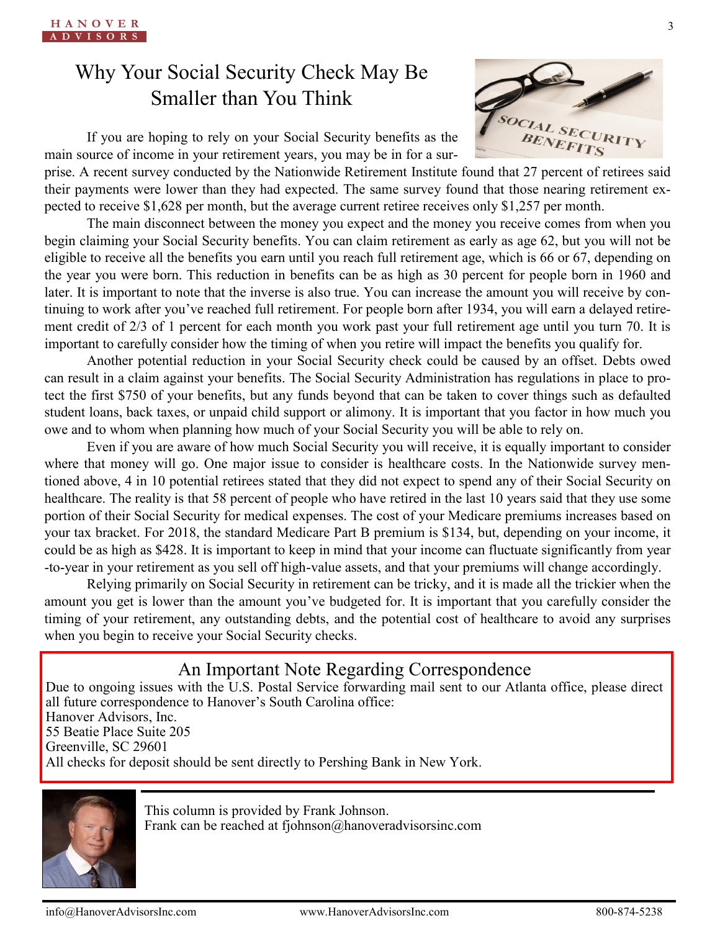## Why Your Social Security Check May Be Smaller than You Think

If you are hoping to rely on your Social Security benefits as the main source of income in your retirement years, you may be in for a sur-



prise. A recent survey conducted by the Nationwide Retirement Institute found that 27 percent of retirees said their payments were lower than they had expected. The same survey found that those nearing retirement expected to receive \$1,628 per month, but the average current retiree receives only \$1,257 per month.

The main disconnect between the money you expect and the money you receive comes from when you begin claiming your Social Security benefits. You can claim retirement as early as age 62, but you will not be eligible to receive all the benefits you earn until you reach full retirement age, which is 66 or 67, depending on the year you were born. This reduction in benefits can be as high as 30 percent for people born in 1960 and later. It is important to note that the inverse is also true. You can increase the amount you will receive by continuing to work after you've reached full retirement. For people born after 1934, you will earn a delayed retirement credit of 2/3 of 1 percent for each month you work past your full retirement age until you turn 70. It is important to carefully consider how the timing of when you retire will impact the benefits you qualify for.

Another potential reduction in your Social Security check could be caused by an offset. Debts owed can result in a claim against your benefits. The Social Security Administration has regulations in place to protect the first \$750 of your benefits, but any funds beyond that can be taken to cover things such as defaulted student loans, back taxes, or unpaid child support or alimony. It is important that you factor in how much you owe and to whom when planning how much of your Social Security you will be able to rely on.

Even if you are aware of how much Social Security you will receive, it is equally important to consider where that money will go. One major issue to consider is healthcare costs. In the Nationwide survey mentioned above, 4 in 10 potential retirees stated that they did not expect to spend any of their Social Security on healthcare. The reality is that 58 percent of people who have retired in the last 10 years said that they use some portion of their Social Security for medical expenses. The cost of your Medicare premiums increases based on your tax bracket. For 2018, the standard Medicare Part B premium is \$134, but, depending on your income, it could be as high as \$428. It is important to keep in mind that your income can fluctuate significantly from year -to-year in your retirement as you sell off high-value assets, and that your premiums will change accordingly.

Relying primarily on Social Security in retirement can be tricky, and it is made all the trickier when the amount you get is lower than the amount you've budgeted for. It is important that you carefully consider the timing of your retirement, any outstanding debts, and the potential cost of healthcare to avoid any surprises when you begin to receive your Social Security checks.

### An Important Note Regarding Correspondence

Due to ongoing issues with the U.S. Postal Service forwarding mail sent to our Atlanta office, please direct all future correspondence to Hanover's South Carolina office: Hanover Advisors, Inc. 55 Beatie Place Suite 205 Greenville, SC 29601 All checks for deposit should be sent directly to Pershing Bank in New York.



This column is provided by Frank Johnson. Frank can be reached at fjohnson@hanoveradvisorsinc.com